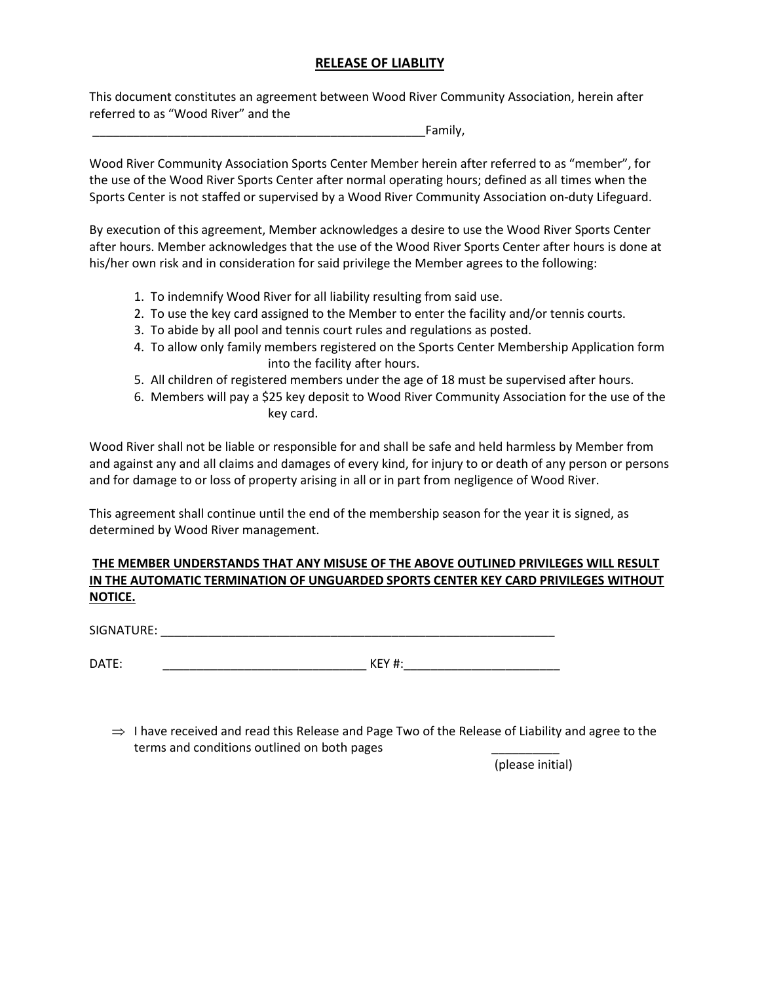#### **RELEASE OF LIABLITY**

This document constitutes an agreement between Wood River Community Association, herein after referred to as "Wood River" and the

\_\_\_\_\_\_\_\_\_\_\_\_\_\_\_\_\_\_\_\_\_\_\_\_\_\_\_\_\_\_\_\_\_\_\_\_\_\_\_\_\_\_\_\_\_\_\_\_\_Family,

Wood River Community Association Sports Center Member herein after referred to as "member", for the use of the Wood River Sports Center after normal operating hours; defined as all times when the Sports Center is not staffed or supervised by a Wood River Community Association on-duty Lifeguard.

By execution of this agreement, Member acknowledges a desire to use the Wood River Sports Center after hours. Member acknowledges that the use of the Wood River Sports Center after hours is done at his/her own risk and in consideration for said privilege the Member agrees to the following:

- 1. To indemnify Wood River for all liability resulting from said use.
- 2. To use the key card assigned to the Member to enter the facility and/or tennis courts.
- 3. To abide by all pool and tennis court rules and regulations as posted.
- 4. To allow only family members registered on the Sports Center Membership Application form into the facility after hours.
- 5. All children of registered members under the age of 18 must be supervised after hours.
- 6. Members will pay a \$25 key deposit to Wood River Community Association for the use of the key card.

Wood River shall not be liable or responsible for and shall be safe and held harmless by Member from and against any and all claims and damages of every kind, for injury to or death of any person or persons and for damage to or loss of property arising in all or in part from negligence of Wood River.

This agreement shall continue until the end of the membership season for the year it is signed, as determined by Wood River management.

### **THE MEMBER UNDERSTANDS THAT ANY MISUSE OF THE ABOVE OUTLINED PRIVILEGES WILL RESULT IN THE AUTOMATIC TERMINATION OF UNGUARDED SPORTS CENTER KEY CARD PRIVILEGES WITHOUT NOTICE.**

SIGNATURE: \_\_\_\_\_\_\_\_\_\_\_\_\_\_\_\_\_\_\_\_\_\_\_\_\_\_\_\_\_\_\_\_\_\_\_\_\_\_\_\_\_\_\_\_\_\_\_\_\_\_\_\_\_\_\_\_\_\_

DATE: \_\_\_\_\_\_\_\_\_\_\_\_\_\_\_\_\_\_\_\_\_\_\_\_\_\_\_\_\_\_ KEY #:\_\_\_\_\_\_\_\_\_\_\_\_\_\_\_\_\_\_\_\_\_\_\_

 $\Rightarrow$  I have received and read this Release and Page Two of the Release of Liability and agree to the terms and conditions outlined on both pages

(please initial)